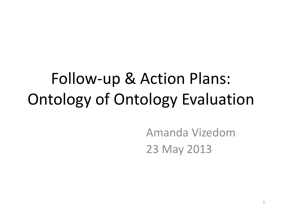## Follow-up & Action Plans: Ontology of Ontology Evaluation

Amanda Vizedom 23 May 2013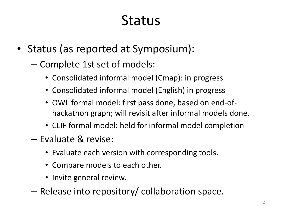## Status

- Status (as reported at Symposium):
	- Complete 1st set of models:
		- Consolidated informal model (Cmap): in progress
		- Consolidated informal model (English) in progress
		- OWL formal model: first pass done, based on end-ofhackathon graph; will revisit after informal models done.
		- CLIF formal model: held for informal model completion
	- Evaluate & revise:
		- Evaluate each version with corresponding tools.
		- Compare models to each other.
		- Invite general review.
	- Release into repository/ collaboration space.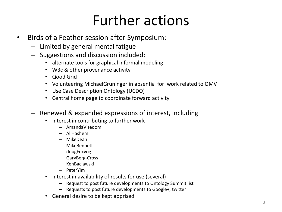## Further actions

- Birds of a Feather session after Symposium:
	- Limited by general mental fatigue
	- Suggestions and discussion included:
		- alternate tools for graphical informal modeling
		- W3c & other provenance activity
		- Qood Grid
		- Volunteering MichaelGruninger in absentia for work related to OMV
		- Use Case Description Ontology (UCDO)
		- Central home page to coordinate forward activity
	- Renewed & expanded expressions of interest, including
		- Interest in contributing to further work
			- AmandaVizedom
			- AliHashemi
			- MikeDean
			- MikeBennett
			- dougFoxvog
			- GaryBerg-Cross
			- KenBaclawski
			- PeterYim
		- Interest in availability of results for use (several)
			- Request to post future developments to Ontology Summit list
			- Requests to post future developments to Google+, twitter
		- General desire to be kept apprised